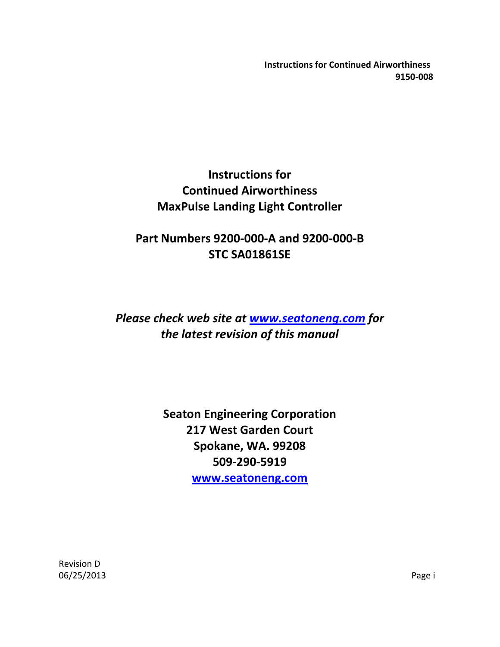# **Instructions for Continued Airworthiness MaxPulse Landing Light Controller**

# **Part Numbers 9200-000-A and 9200-000-B STC SA01861SE**

# *Please check web site at [www.seatoneng.com](http://www.seatoneng.com/) for the latest revision of this manual*

**Seaton Engineering Corporation 217 West Garden Court Spokane, WA. 99208 509-290-5919 [www.seatoneng.com](http://www.seatoneng.com/)**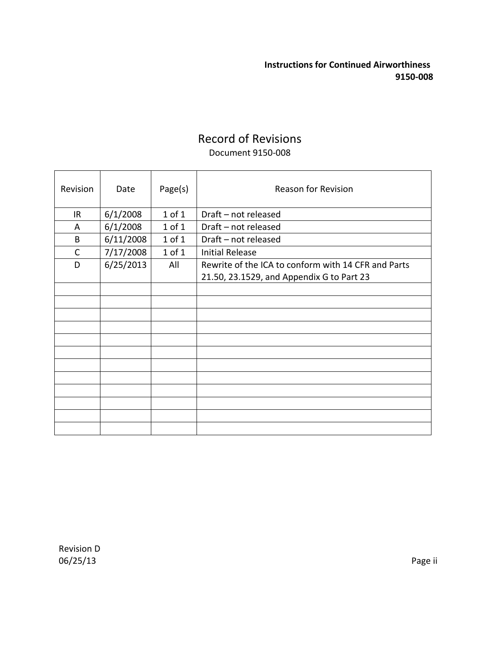## Record of Revisions Document 9150-008

| Revision | Date      | Page(s)    | <b>Reason for Revision</b>                                                                       |
|----------|-----------|------------|--------------------------------------------------------------------------------------------------|
| IR       | 6/1/2008  | $1$ of $1$ | Draft - not released                                                                             |
| A        | 6/1/2008  | $1$ of $1$ | Draft - not released                                                                             |
| B        | 6/11/2008 | $1$ of $1$ | Draft - not released                                                                             |
| C        | 7/17/2008 | $1$ of $1$ | <b>Initial Release</b>                                                                           |
| D        | 6/25/2013 | All        | Rewrite of the ICA to conform with 14 CFR and Parts<br>21.50, 23.1529, and Appendix G to Part 23 |
|          |           |            |                                                                                                  |
|          |           |            |                                                                                                  |
|          |           |            |                                                                                                  |
|          |           |            |                                                                                                  |
|          |           |            |                                                                                                  |
|          |           |            |                                                                                                  |
|          |           |            |                                                                                                  |
|          |           |            |                                                                                                  |
|          |           |            |                                                                                                  |
|          |           |            |                                                                                                  |
|          |           |            |                                                                                                  |
|          |           |            |                                                                                                  |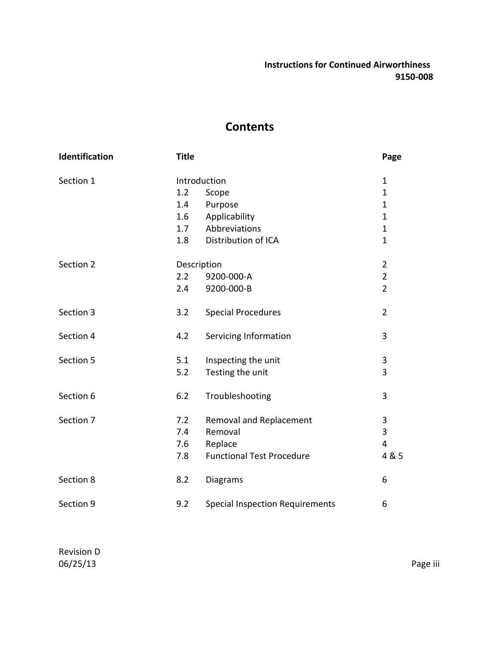## **Contents**

| Identification | <b>Title</b> |                                        | Page           |
|----------------|--------------|----------------------------------------|----------------|
| Section 1      |              | Introduction                           | $\mathbf{1}$   |
|                | 1.2          | Scope                                  | $\mathbf{1}$   |
|                | 1.4          | Purpose                                | $\mathbf{1}$   |
|                | $1.6\,$      | Applicability                          | $\mathbf{1}$   |
|                | 1.7          | Abbreviations                          | $\mathbf{1}$   |
|                | 1.8          | Distribution of ICA                    | $\mathbf{1}$   |
| Section 2      |              | Description                            | $\overline{2}$ |
|                | 2.2          | 9200-000-A                             | $\overline{2}$ |
|                | 2.4          | 9200-000-B                             | $\overline{2}$ |
| Section 3      | 3.2          | <b>Special Procedures</b>              | $\overline{2}$ |
| Section 4      | 4.2          | Servicing Information                  | 3              |
| Section 5      | 5.1          | Inspecting the unit                    | 3              |
|                | 5.2          | Testing the unit                       | 3              |
| Section 6      | 6.2          | Troubleshooting                        | 3              |
| Section 7      | 7.2          | Removal and Replacement                | 3              |
|                | 7.4          | Removal                                | 3              |
|                | 7.6          | Replace                                | $\overline{4}$ |
|                | 7.8          | <b>Functional Test Procedure</b>       | 4 & 5          |
| Section 8      | 8.2          | Diagrams                               | 6              |
| Section 9      | 9.2          | <b>Special Inspection Requirements</b> | 6              |

Revision D 06/25/13 Page iii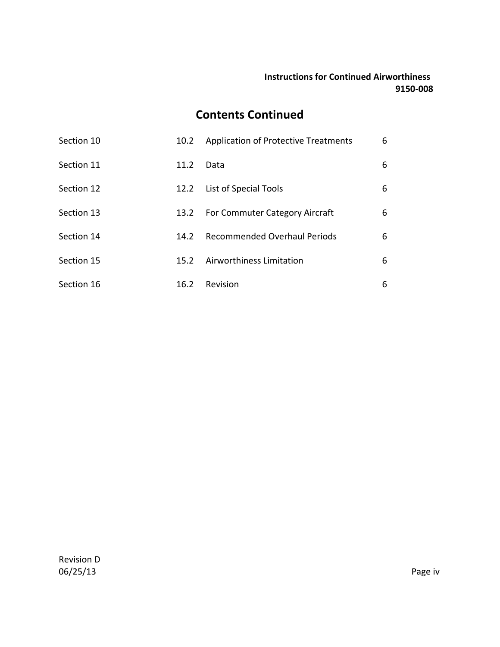## **Contents Continued**

| Section 10 | 10.2 | <b>Application of Protective Treatments</b> | 6 |
|------------|------|---------------------------------------------|---|
| Section 11 | 11.2 | Data                                        | 6 |
| Section 12 | 12.2 | List of Special Tools                       | 6 |
| Section 13 | 13.2 | For Commuter Category Aircraft              | 6 |
| Section 14 | 14.2 | <b>Recommended Overhaul Periods</b>         | 6 |
| Section 15 | 15.2 | Airworthiness Limitation                    | 6 |
| Section 16 | 16.2 | Revision                                    | 6 |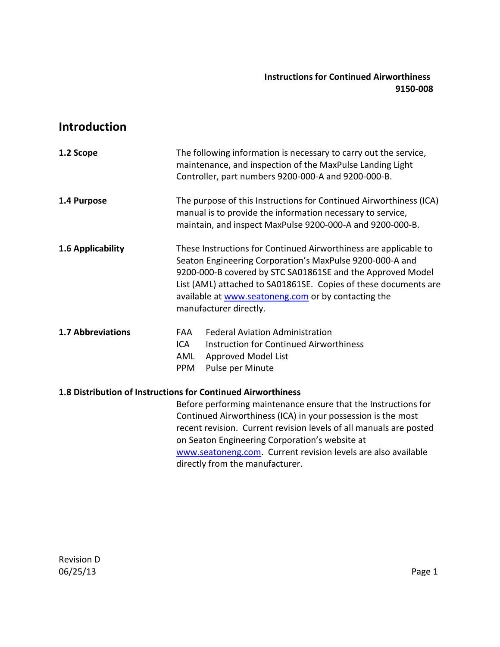## **Introduction**

| 1.2 Scope                                                    |                          | The following information is necessary to carry out the service,<br>maintenance, and inspection of the MaxPulse Landing Light<br>Controller, part numbers 9200-000-A and 9200-000-B.                                                                                                                                                           |
|--------------------------------------------------------------|--------------------------|------------------------------------------------------------------------------------------------------------------------------------------------------------------------------------------------------------------------------------------------------------------------------------------------------------------------------------------------|
| 1.4 Purpose                                                  |                          | The purpose of this Instructions for Continued Airworthiness (ICA)<br>manual is to provide the information necessary to service,<br>maintain, and inspect MaxPulse 9200-000-A and 9200-000-B.                                                                                                                                                  |
| 1.6 Applicability                                            |                          | These Instructions for Continued Airworthiness are applicable to<br>Seaton Engineering Corporation's MaxPulse 9200-000-A and<br>9200-000-B covered by STC SA01861SE and the Approved Model<br>List (AML) attached to SA01861SE. Copies of these documents are<br>available at www.seatoneng.com or by contacting the<br>manufacturer directly. |
| <b>1.7 Abbreviations</b>                                     | FAA<br>ICA<br>AML<br>PPM | <b>Federal Aviation Administration</b><br>Instruction for Continued Airworthiness<br>Approved Model List<br>Pulse per Minute                                                                                                                                                                                                                   |
| 1.8 Distribution of Instructions for Continued Airworthiness |                          |                                                                                                                                                                                                                                                                                                                                                |

Before performing maintenance ensure that the Instructions for Continued Airworthiness (ICA) in your possession is the most recent revision. Current revision levels of all manuals are posted on Seaton Engineering Corporation's website at [www.seatoneng.com.](http://www.seatoneng.com/) Current revision levels are also available directly from the manufacturer.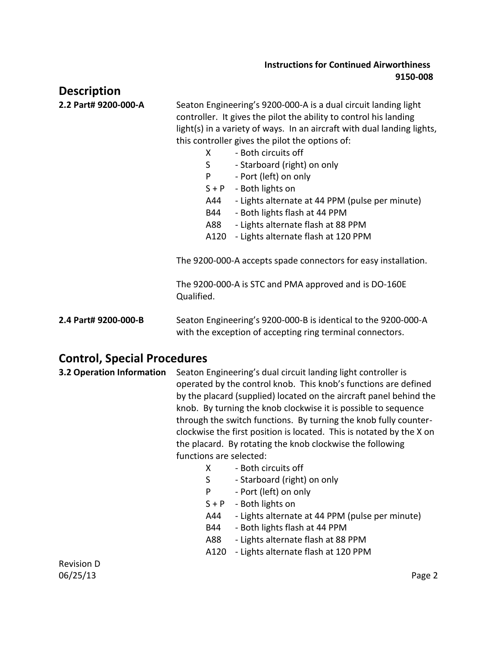| <b>Description</b>                 |                                                                                                                                                                                                                                                                                                                                                                                                                                                                                                                                                                                                                                                                                                                                        |  |
|------------------------------------|----------------------------------------------------------------------------------------------------------------------------------------------------------------------------------------------------------------------------------------------------------------------------------------------------------------------------------------------------------------------------------------------------------------------------------------------------------------------------------------------------------------------------------------------------------------------------------------------------------------------------------------------------------------------------------------------------------------------------------------|--|
| 2.2 Part# 9200-000-A               | Seaton Engineering's 9200-000-A is a dual circuit landing light<br>controller. It gives the pilot the ability to control his landing<br>light(s) in a variety of ways. In an aircraft with dual landing lights,<br>this controller gives the pilot the options of:<br>- Both circuits off<br>X<br>S<br>- Starboard (right) on only<br>P<br>- Port (left) on only<br>$S + P$<br>- Both lights on<br>- Lights alternate at 44 PPM (pulse per minute)<br>A44<br>- Both lights flash at 44 PPM<br>B44<br>- Lights alternate flash at 88 PPM<br>A88<br>- Lights alternate flash at 120 PPM<br>A120<br>The 9200-000-A accepts spade connectors for easy installation.<br>The 9200-000-A is STC and PMA approved and is DO-160E<br>Qualified. |  |
| 2.4 Part# 9200-000-B               | Seaton Engineering's 9200-000-B is identical to the 9200-000-A<br>with the exception of accepting ring terminal connectors.                                                                                                                                                                                                                                                                                                                                                                                                                                                                                                                                                                                                            |  |
| <b>Control, Special Procedures</b> |                                                                                                                                                                                                                                                                                                                                                                                                                                                                                                                                                                                                                                                                                                                                        |  |
| 3.2 Operation Information          | Seaton Engineering's dual circuit landing light controller is<br>operated by the control knob. This knob's functions are defined<br>by the placard (supplied) located on the aircraft panel behind the<br>knob. By turning the knob clockwise it is possible to sequence<br>through the switch functions. By turning the knob fully counter-<br>clockwise the first position is located. This is notated by the X on<br>the placard. By rotating the knob clockwise the following<br>functions are selected:<br>- Both circuits off<br>X<br>$\overline{ }$                                                                                                                                                                             |  |

- S Starboard (right) on only
- P Port (left) on only
- $S + P$  Both lights on
- A44 Lights alternate at 44 PPM (pulse per minute)
- B44 Both lights flash at 44 PPM
- A88 Lights alternate flash at 88 PPM
- A120 Lights alternate flash at 120 PPM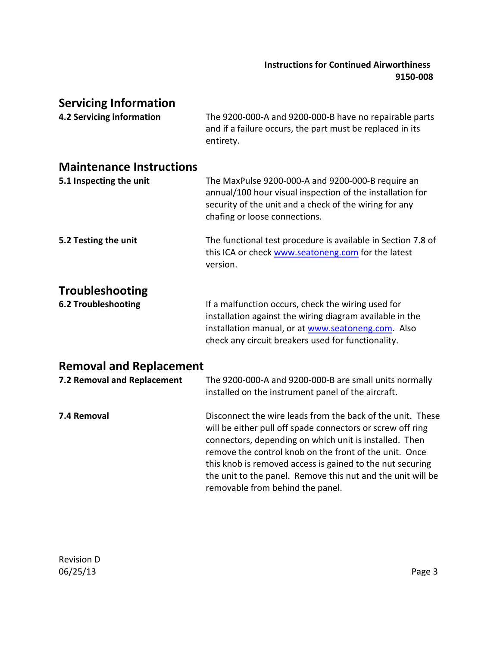### **Servicing Information**

**4.2 Servicing information** The 9200-000-A and 9200-000-B have no repairable parts and if a failure occurs, the part must be replaced in its entirety.

#### **Maintenance Instructions**

| 5.1 Inspecting the unit | The MaxPulse 9200-000-A and 9200-000-B require an<br>annual/100 hour visual inspection of the installation for<br>security of the unit and a check of the wiring for any<br>chafing or loose connections. |
|-------------------------|-----------------------------------------------------------------------------------------------------------------------------------------------------------------------------------------------------------|
| 5.2 Testing the unit    | The functional test procedure is available in Section 7.8 of<br>this ICA or check www.seatoneng.com for the latest<br>version.                                                                            |
| <b>Troubleshooting</b>  |                                                                                                                                                                                                           |

**6.2 Troubleshooting** If a malfunction occurs, check the wiring used for installation against the wiring diagram available in the installation manual, or a[t www.seatoneng.com.](http://www.seatoneng.com/) Also check any circuit breakers used for functionality.

## **Removal and Replacement**

| 7.2 Removal and Replacement | The 9200-000-A and 9200-000-B are small units normally<br>installed on the instrument panel of the aircraft.                                                                                                                                                                                                                                                                                                 |
|-----------------------------|--------------------------------------------------------------------------------------------------------------------------------------------------------------------------------------------------------------------------------------------------------------------------------------------------------------------------------------------------------------------------------------------------------------|
| 7.4 Removal                 | Disconnect the wire leads from the back of the unit. These<br>will be either pull off spade connectors or screw off ring<br>connectors, depending on which unit is installed. Then<br>remove the control knob on the front of the unit. Once<br>this knob is removed access is gained to the nut securing<br>the unit to the panel. Remove this nut and the unit will be<br>removable from behind the panel. |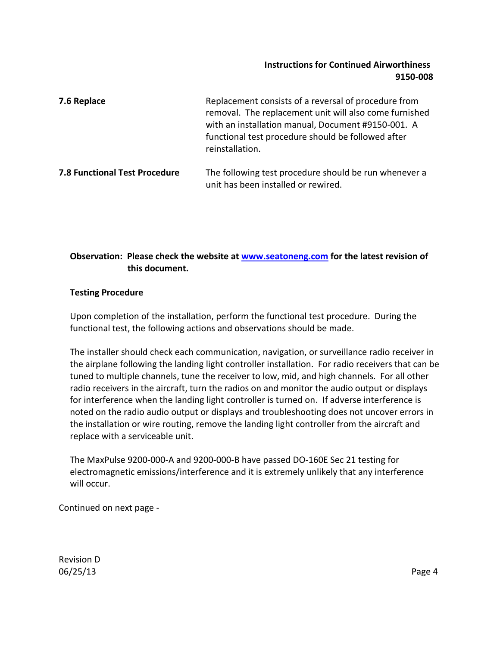| 7.6 Replace                          | Replacement consists of a reversal of procedure from<br>removal. The replacement unit will also come furnished<br>with an installation manual, Document #9150-001. A<br>functional test procedure should be followed after<br>reinstallation. |
|--------------------------------------|-----------------------------------------------------------------------------------------------------------------------------------------------------------------------------------------------------------------------------------------------|
| <b>7.8 Functional Test Procedure</b> | The following test procedure should be run whenever a<br>unit has been installed or rewired.                                                                                                                                                  |

#### **Observation: Please check the website at [www.seatoneng.com](http://www.seatoneng.com/) for the latest revision of this document.**

#### **Testing Procedure**

Upon completion of the installation, perform the functional test procedure. During the functional test, the following actions and observations should be made.

 The installer should check each communication, navigation, or surveillance radio receiver in the airplane following the landing light controller installation. For radio receivers that can be tuned to multiple channels, tune the receiver to low, mid, and high channels. For all other radio receivers in the aircraft, turn the radios on and monitor the audio output or displays for interference when the landing light controller is turned on. If adverse interference is noted on the radio audio output or displays and troubleshooting does not uncover errors in the installation or wire routing, remove the landing light controller from the aircraft and replace with a serviceable unit.

 The MaxPulse 9200-000-A and 9200-000-B have passed DO-160E Sec 21 testing for electromagnetic emissions/interference and it is extremely unlikely that any interference will occur.

Continued on next page -

Revision D 06/25/13 Page 4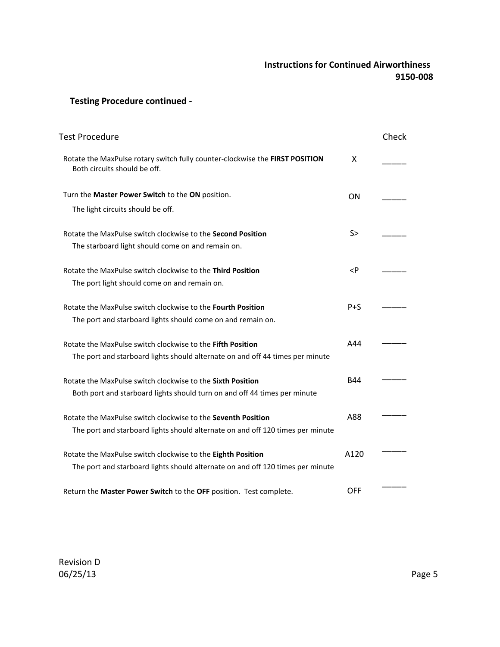#### **Testing Procedure continued -**

| Test Procedure                                                                                                                                 |                          | Check |
|------------------------------------------------------------------------------------------------------------------------------------------------|--------------------------|-------|
| Rotate the MaxPulse rotary switch fully counter-clockwise the FIRST POSITION<br>Both circuits should be off.                                   | X                        |       |
| Turn the Master Power Switch to the ON position.<br>The light circuits should be off.                                                          | ON                       |       |
| Rotate the MaxPulse switch clockwise to the Second Position<br>The starboard light should come on and remain on.                               | S>                       |       |
| Rotate the MaxPulse switch clockwise to the Third Position<br>The port light should come on and remain on.                                     | <p< td=""><td></td></p<> |       |
| Rotate the MaxPulse switch clockwise to the Fourth Position<br>The port and starboard lights should come on and remain on.                     | $P + S$                  |       |
| Rotate the MaxPulse switch clockwise to the Fifth Position<br>The port and starboard lights should alternate on and off 44 times per minute    | A44                      |       |
| Rotate the MaxPulse switch clockwise to the <b>Sixth Position</b><br>Both port and starboard lights should turn on and off 44 times per minute | <b>B44</b>               |       |
| Rotate the MaxPulse switch clockwise to the Seventh Position<br>The port and starboard lights should alternate on and off 120 times per minute | A88                      |       |
| Rotate the MaxPulse switch clockwise to the Eighth Position<br>The port and starboard lights should alternate on and off 120 times per minute  | A120                     |       |
| Return the Master Power Switch to the OFF position. Test complete.                                                                             | <b>OFF</b>               |       |